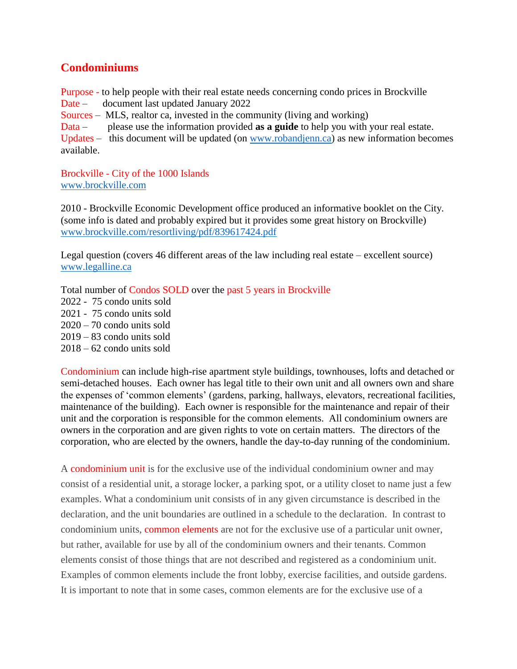# **Condominiums**

Purpose - to help people with their real estate needs concerning condo prices in Brockville Date – document last updated January 2022 Sources – MLS, realtor ca, invested in the community (living and working) Data – please use the information provided **as a guide** to help you with your real estate. Updates – this document will be updated (on [www.robandjenn.ca\)](http://www.robandjenn.ca/) as new information becomes available.

Brockville - City of the 1000 Islands [www.brockville.com](http://www.brockville.com/)

2010 - Brockville Economic Development office produced an informative booklet on the City. (some info is dated and probably expired but it provides some great history on Brockville) [www.brockville.com/resortliving/pdf/839617424.pdf](http://www.brockville.com/resortliving/pdf/839617424.pdf)

Legal question (covers 46 different areas of the law including real estate – excellent source) [www.legalline.ca](http://www.legalline.ca/)

Total number of Condos SOLD over the past 5 years in Brockville

2022 - 75 condo units sold 2021 - 75 condo units sold  $2020 - 70$  condo units sold  $2019 - 83$  condo units sold 2018 – 62 condo units sold

Condominium can include high-rise apartment style buildings, townhouses, lofts and detached or semi-detached houses. Each owner has legal title to their own unit and all owners own and share the expenses of 'common elements' (gardens, parking, hallways, elevators, recreational facilities, maintenance of the building). Each owner is responsible for the maintenance and repair of their unit and the corporation is responsible for the common elements. All condominium owners are owners in the corporation and are given rights to vote on certain matters. The directors of the corporation, who are elected by the owners, handle the day-to-day running of the condominium.

A condominium unit is for the exclusive use of the individual condominium owner and may consist of a residential unit, a storage locker, a parking spot, or a utility closet to name just a few examples. What a condominium unit consists of in any given circumstance is described in the declaration, and the unit boundaries are outlined in a schedule to the declaration. In contrast to condominium units, common elements are not for the exclusive use of a particular unit owner, but rather, available for use by all of the condominium owners and their tenants. Common elements consist of those things that are not described and registered as a condominium unit. Examples of common elements include the front lobby, exercise facilities, and outside gardens. It is important to note that in some cases, common elements are for the exclusive use of a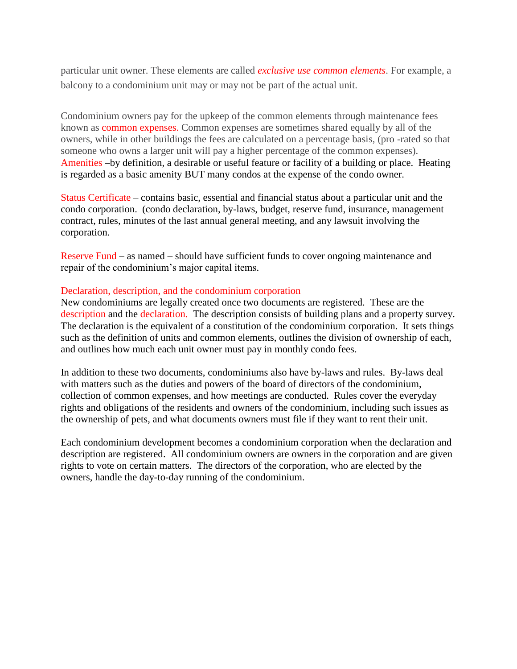particular unit owner. These elements are called *exclusive use common elements*. For example, a balcony to a condominium unit may or may not be part of the actual unit.

Condominium owners pay for the upkeep of the common elements through maintenance fees known as common expenses. Common expenses are sometimes shared equally by all of the owners, while in other buildings the fees are calculated on a percentage basis, (pro -rated so that someone who owns a larger unit will pay a higher percentage of the common expenses). Amenities –by definition, a desirable or useful feature or facility of a building or place. Heating is regarded as a basic amenity BUT many condos at the expense of the condo owner.

Status Certificate – contains basic, essential and financial status about a particular unit and the condo corporation. (condo declaration, by-laws, budget, reserve fund, insurance, management contract, rules, minutes of the last annual general meeting, and any lawsuit involving the corporation.

Reserve Fund – as named – should have sufficient funds to cover ongoing maintenance and repair of the condominium's major capital items.

#### Declaration, description, and the condominium corporation

New condominiums are legally created once two documents are registered. These are the description and the declaration. The description consists of building plans and a property survey. The declaration is the equivalent of a constitution of the condominium corporation. It sets things such as the definition of units and common elements, outlines the division of ownership of each, and outlines how much each unit owner must pay in monthly condo fees.

In addition to these two documents, condominiums also have by-laws and rules. By-laws deal with matters such as the duties and powers of the board of directors of the condominium, collection of common expenses, and how meetings are conducted. Rules cover the everyday rights and obligations of the residents and owners of the condominium, including such issues as the ownership of pets, and what documents owners must file if they want to rent their unit.

Each condominium development becomes a condominium corporation when the declaration and description are registered. All condominium owners are owners in the corporation and are given rights to vote on certain matters. The directors of the corporation, who are elected by the owners, handle the day-to-day running of the condominium.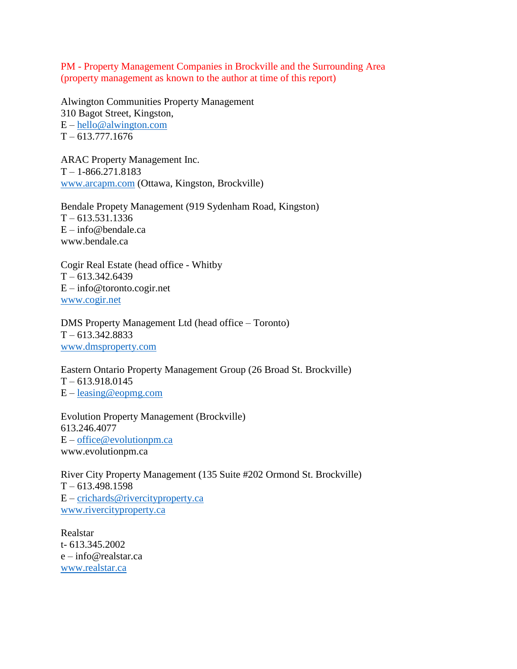PM - Property Management Companies in Brockville and the Surrounding Area (property management as known to the author at time of this report)

Alwington Communities Property Management 310 Bagot Street, Kingston, E – [hello@alwington.com](mailto:hello@alwington.com)  $T - 613.777.1676$ 

ARAC Property Management Inc.  $T - 1 - 866.271.8183$ [www.arcapm.com](http://www.arcapm.com/) (Ottawa, Kingston, Brockville)

Bendale Propety Management (919 Sydenham Road, Kingston)  $T - 613.531.1336$  $E - info@bendale.ca$ www.bendale.ca

Cogir Real Estate (head office - Whitby  $T - 613.342.6439$ E – info@toronto.cogir.net [www.cogir.net](http://www.cogir.net/)

DMS Property Management Ltd (head office – Toronto)  $T - 613.342.8833$ [www.dmsproperty.com](http://www.dmsproperty.com/)

Eastern Ontario Property Management Group (26 Broad St. Brockville)  $T - 613.918.0145$ E – [leasing@eopmg.com](mailto:leasing@eopmg.com)

Evolution Property Management (Brockville) 613.246.4077 E – [office@evolutionpm.ca](mailto:office@evolutionpm.ca) www.evolutionpm.ca

River City Property Management (135 Suite #202 Ormond St. Brockville)  $T - 613.498.1598$ E – [crichards@rivercityproperty.ca](mailto:crichards@rivercityproperty.ca) [www.rivercityproperty.ca](http://www.rivercityproperty.ca/)

Realstar t- 613.345.2002 e – info@realstar.ca [www.realstar.ca](http://www.realstar.ca/)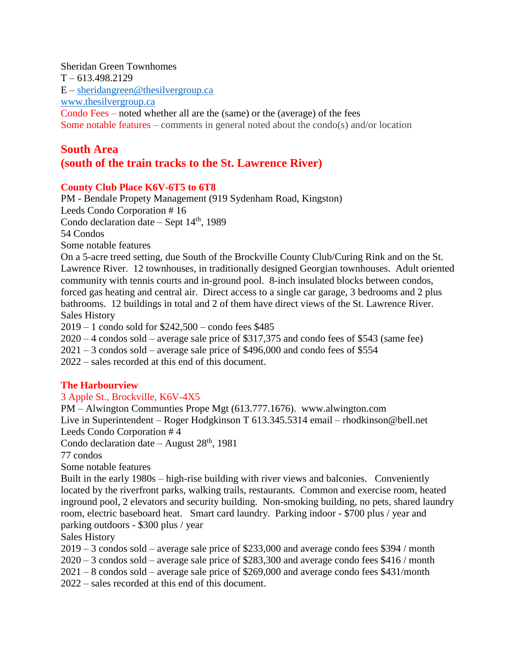Sheridan Green Townhomes  $T - 613.498.2129$  $E$  – [sheridangreen@thesilvergroup.ca](mailto:sheridangreen@thesilvergroup.ca) [www.thesilvergroup.ca](http://www.thesilvergroup.ca/) Condo Fees – noted whether all are the (same) or the (average) of the fees Some notable features – comments in general noted about the condo(s) and/or location

# **South Area (south of the train tracks to the St. Lawrence River)**

## **County Club Place K6V-6T5 to 6T8**

PM - Bendale Propety Management (919 Sydenham Road, Kingston) Leeds Condo Corporation # 16 Condo declaration date – Sept  $14<sup>th</sup>$ , 1989 54 Condos Some notable features On a 5-acre treed setting, due South of the Brockville County Club/Curing Rink and on the St.

Lawrence River. 12 townhouses, in traditionally designed Georgian townhouses. Adult oriented community with tennis courts and in-ground pool. 8-inch insulated blocks between condos, forced gas heating and central air. Direct access to a single car garage, 3 bedrooms and 2 plus bathrooms. 12 buildings in total and 2 of them have direct views of the St. Lawrence River. Sales History

2019 – 1 condo sold for \$242,500 – condo fees \$485

2020 – 4 condos sold – average sale price of \$317,375 and condo fees of \$543 (same fee)

2021 – 3 condos sold – average sale price of \$496,000 and condo fees of \$554

2022 – sales recorded at this end of this document.

# **The Harbourview**

# 3 Apple St., Brockville, K6V-4X5

PM – Alwington Communties Prope Mgt (613.777.1676). www.alwington.com Live in Superintendent – Roger Hodgkinson T 613.345.5314 email – rhodkinson@bell.net Leeds Condo Corporation # 4

Condo declaration date – August  $28<sup>th</sup>$ , 1981

77 condos

Some notable features

Built in the early 1980s – high-rise building with river views and balconies. Conveniently located by the riverfront parks, walking trails, restaurants. Common and exercise room, heated inground pool, 2 elevators and security building. Non-smoking building, no pets, shared laundry room, electric baseboard heat. Smart card laundry. Parking indoor - \$700 plus / year and parking outdoors - \$300 plus / year

Sales History

2019 – 3 condos sold – average sale price of \$233,000 and average condo fees \$394 / month

2020 – 3 condos sold – average sale price of \$283,300 and average condo fees \$416 / month

2021 – 8 condos sold – average sale price of \$269,000 and average condo fees \$431/month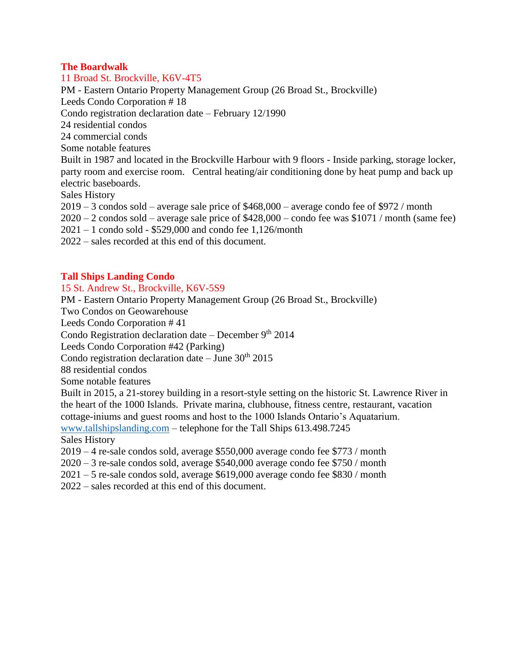#### **The Boardwalk**

11 Broad St. Brockville, K6V-4T5

PM - Eastern Ontario Property Management Group (26 Broad St., Brockville)

Leeds Condo Corporation # 18

Condo registration declaration date – February 12/1990

24 residential condos

24 commercial conds

Some notable features

Built in 1987 and located in the Brockville Harbour with 9 floors - Inside parking, storage locker, party room and exercise room. Central heating/air conditioning done by heat pump and back up electric baseboards.

Sales History

2019 – 3 condos sold – average sale price of \$468,000 – average condo fee of \$972 / month

2020 – 2 condos sold – average sale price of \$428,000 – condo fee was \$1071 / month (same fee)

2021 – 1 condo sold - \$529,000 and condo fee 1,126/month

2022 – sales recorded at this end of this document.

# **Tall Ships Landing Condo**

#### 15 St. Andrew St., Brockville, K6V-5S9

PM - Eastern Ontario Property Management Group (26 Broad St., Brockville)

Two Condos on Geowarehouse

Leeds Condo Corporation # 41

Condo Registration declaration date – December  $9<sup>th</sup> 2014$ 

Leeds Condo Corporation #42 (Parking)

Condo registration declaration date  $-$  June 30<sup>th</sup> 2015

88 residential condos

Some notable features

Built in 2015, a 21-storey building in a resort-style setting on the historic St. Lawrence River in the heart of the 1000 Islands. Private marina, clubhouse, fitness centre, restaurant, vacation cottage-iniums and guest rooms and host to the 1000 Islands Ontario's Aquatarium.

[www.tallshipslanding.com](http://www.tallshipslanding.com/) – telephone for the Tall Ships 613.498.7245

Sales History

2019 – 4 re-sale condos sold, average \$550,000 average condo fee \$773 / month

2020 – 3 re-sale condos sold, average \$540,000 average condo fee \$750 / month

2021 – 5 re-sale condos sold, average \$619,000 average condo fee \$830 / month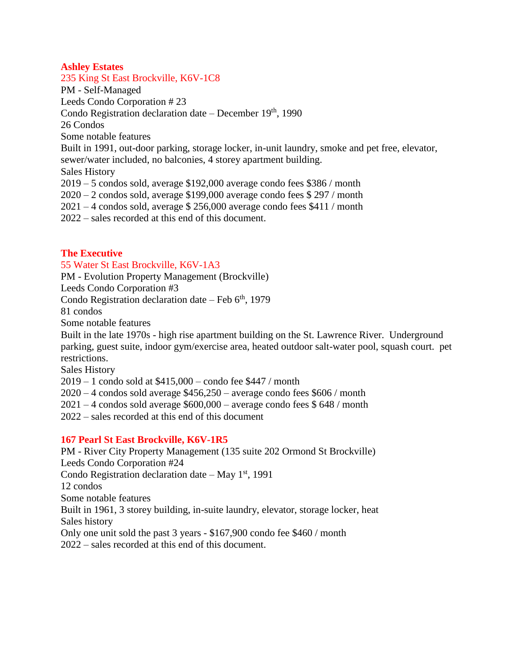## **Ashley Estates**

235 King St East Brockville, K6V-1C8 PM - Self-Managed Leeds Condo Corporation # 23 Condo Registration declaration date – December  $19<sup>th</sup>$ , 1990 26 Condos Some notable features Built in 1991, out-door parking, storage locker, in-unit laundry, smoke and pet free, elevator, sewer/water included, no balconies, 4 storey apartment building. Sales History 2019 – 5 condos sold, average \$192,000 average condo fees \$386 / month 2020 – 2 condos sold, average \$199,000 average condo fees \$ 297 / month  $2021 - 4$  condos sold, average \$ 256,000 average condo fees \$411 / month 2022 – sales recorded at this end of this document.

**The Executive**

# 55 Water St East Brockville, K6V-1A3

PM - Evolution Property Management (Brockville)

Leeds Condo Corporation #3

Condo Registration declaration date – Feb  $6<sup>th</sup>$ , 1979

81 condos

Some notable features

Built in the late 1970s - high rise apartment building on the St. Lawrence River. Underground parking, guest suite, indoor gym/exercise area, heated outdoor salt-water pool, squash court. pet restrictions.

Sales History

2019 – 1 condo sold at \$415,000 – condo fee \$447 / month

 $2020 - 4$  condos sold average  $$456,250 - average$  condo fees  $$606 / month$ 

 $2021 - 4$  condos sold average \$600,000 – average condo fees \$648 / month

2022 – sales recorded at this end of this document

#### **167 Pearl St East Brockville, K6V-1R5**

PM - River City Property Management (135 suite 202 Ormond St Brockville) Leeds Condo Corporation #24 Condo Registration declaration date – May  $1<sup>st</sup>$ , 1991 12 condos Some notable features Built in 1961, 3 storey building, in-suite laundry, elevator, storage locker, heat Sales history Only one unit sold the past 3 years - \$167,900 condo fee \$460 / month 2022 – sales recorded at this end of this document.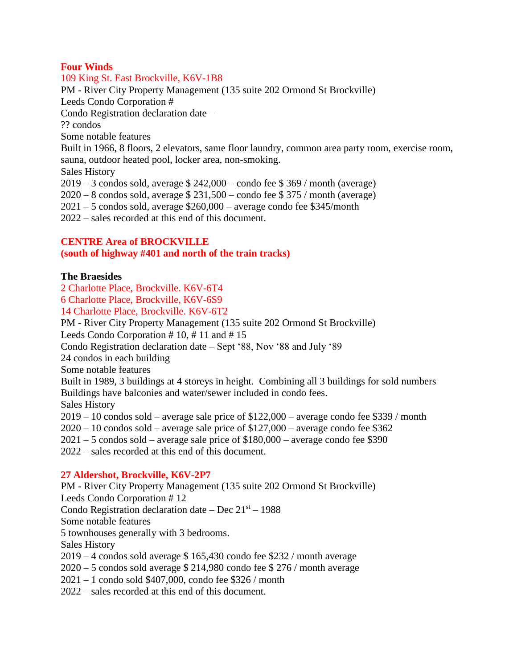## **Four Winds**

109 King St. East Brockville, K6V-1B8 PM - River City Property Management (135 suite 202 Ormond St Brockville) Leeds Condo Corporation # Condo Registration declaration date – ?? condos Some notable features Built in 1966, 8 floors, 2 elevators, same floor laundry, common area party room, exercise room, sauna, outdoor heated pool, locker area, non-smoking. Sales History 2019 – 3 condos sold, average \$ 242,000 – condo fee \$ 369 / month (average) 2020 – 8 condos sold, average \$ 231,500 – condo fee \$ 375 / month (average)  $2021 - 5$  condos sold, average  $$260,000$  – average condo fee  $$345/m$ onth 2022 – sales recorded at this end of this document.

## **CENTRE Area of BROCKVILLE**

#### **(south of highway #401 and north of the train tracks)**

#### **The Braesides**

2 Charlotte Place, Brockville. K6V-6T4 6 Charlotte Place, Brockville, K6V-6S9

14 Charlotte Place, Brockville. K6V-6T2

PM - River City Property Management (135 suite 202 Ormond St Brockville) Leeds Condo Corporation # 10, # 11 and # 15 Condo Registration declaration date – Sept '88, Nov '88 and July '89 24 condos in each building Some notable features Built in 1989, 3 buildings at 4 storeys in height. Combining all 3 buildings for sold numbers Buildings have balconies and water/sewer included in condo fees. Sales History 2019 – 10 condos sold – average sale price of \$122,000 – average condo fee \$339 / month  $2020 - 10$  condos sold – average sale price of \$127,000 – average condo fee \$362 2021 – 5 condos sold – average sale price of \$180,000 – average condo fee \$390 2022 – sales recorded at this end of this document.

#### **27 Aldershot, Brockville, K6V-2P7**

PM - River City Property Management (135 suite 202 Ormond St Brockville) Leeds Condo Corporation # 12 Condo Registration declaration date  $-$  Dec  $21<sup>st</sup> - 1988$ Some notable features 5 townhouses generally with 3 bedrooms. Sales History 2019 – 4 condos sold average \$ 165,430 condo fee \$232 / month average 2020 – 5 condos sold average \$ 214,980 condo fee \$ 276 / month average 2021 – 1 condo sold \$407,000, condo fee \$326 / month 2022 – sales recorded at this end of this document.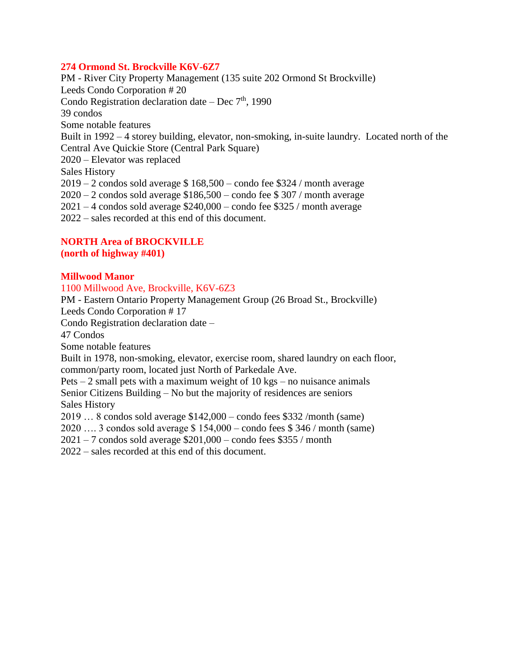## **274 Ormond St. Brockville K6V-6Z7**

PM - River City Property Management (135 suite 202 Ormond St Brockville) Leeds Condo Corporation # 20 Condo Registration declaration date – Dec  $7<sup>th</sup>$ , 1990 39 condos Some notable features Built in 1992 – 4 storey building, elevator, non-smoking, in-suite laundry. Located north of the Central Ave Quickie Store (Central Park Square) 2020 – Elevator was replaced Sales History  $2019 - 2$  condos sold average \$ 168,500 – condo fee \$324 / month average  $2020 - 2$  condos sold average \$186,500 – condo fee \$307 / month average  $2021 - 4$  condos sold average \$240,000 – condo fee \$325 / month average 2022 – sales recorded at this end of this document.

# **NORTH Area of BROCKVILLE**

**(north of highway #401)**

## **Millwood Manor**

1100 Millwood Ave, Brockville, K6V-6Z3

PM - Eastern Ontario Property Management Group (26 Broad St., Brockville) Leeds Condo Corporation # 17

Condo Registration declaration date –

47 Condos

Some notable features

Built in 1978, non-smoking, elevator, exercise room, shared laundry on each floor, common/party room, located just North of Parkedale Ave.

Pets  $-2$  small pets with a maximum weight of 10 kgs – no nuisance animals Senior Citizens Building – No but the majority of residences are seniors Sales History

2019 … 8 condos sold average \$142,000 – condo fees \$332 /month (same)

2020 …. 3 condos sold average \$ 154,000 – condo fees \$ 346 / month (same)

 $2021 - 7$  condos sold average \$201,000 – condo fees \$355 / month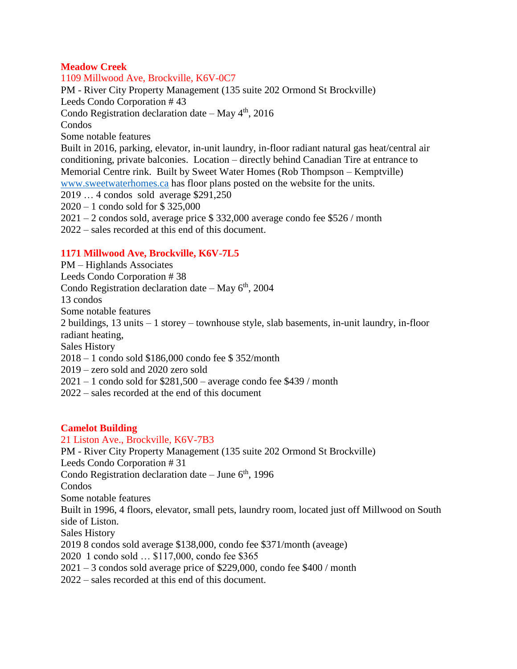## **Meadow Creek**

1109 Millwood Ave, Brockville, K6V-0C7 PM - River City Property Management (135 suite 202 Ormond St Brockville) Leeds Condo Corporation # 43 Condo Registration declaration date – May  $4<sup>th</sup>$ , 2016 Condos Some notable features Built in 2016, parking, elevator, in-unit laundry, in-floor radiant natural gas heat/central air conditioning, private balconies. Location – directly behind Canadian Tire at entrance to Memorial Centre rink. Built by Sweet Water Homes (Rob Thompson – Kemptville) [www.sweetwaterhomes.ca](http://www.sweetwaterhomes.ca/) has floor plans posted on the website for the units. 2019 … 4 condos sold average \$291,250 2020 – 1 condo sold for \$ 325,000 2021 – 2 condos sold, average price \$ 332,000 average condo fee \$526 / month 2022 – sales recorded at this end of this document.

# **1171 Millwood Ave, Brockville, K6V-7L5**

PM – Highlands Associates Leeds Condo Corporation # 38 Condo Registration declaration date – May  $6<sup>th</sup>$ , 2004 13 condos Some notable features 2 buildings, 13 units – 1 storey – townhouse style, slab basements, in-unit laundry, in-floor radiant heating, Sales History 2018 – 1 condo sold \$186,000 condo fee \$ 352/month 2019 – zero sold and 2020 zero sold  $2021 - 1$  condo sold for \$281,500 – average condo fee \$439 / month 2022 – sales recorded at the end of this document

# **Camelot Building**

21 Liston Ave., Brockville, K6V-7B3 PM - River City Property Management (135 suite 202 Ormond St Brockville) Leeds Condo Corporation # 31 Condo Registration declaration date – June  $6<sup>th</sup>$ , 1996 Condos Some notable features Built in 1996, 4 floors, elevator, small pets, laundry room, located just off Millwood on South side of Liston. Sales History 2019 8 condos sold average \$138,000, condo fee \$371/month (aveage) 2020 1 condo sold … \$117,000, condo fee \$365 2021 – 3 condos sold average price of \$229,000, condo fee \$400 / month 2022 – sales recorded at this end of this document.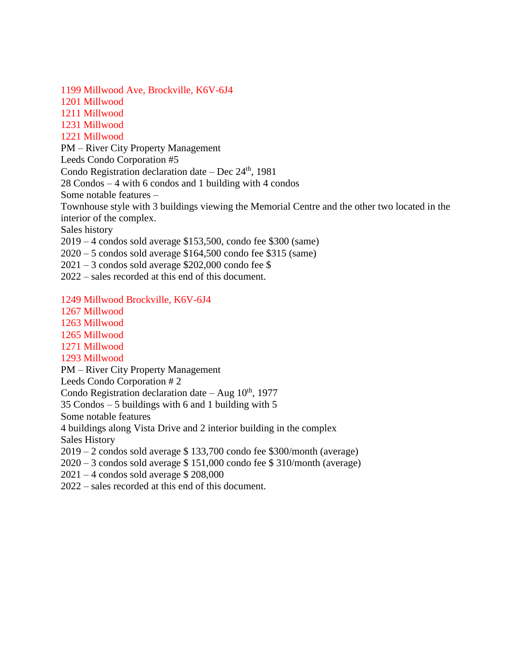1199 Millwood Ave, Brockville, K6V-6J4

1201 Millwood

1211 Millwood

1231 Millwood

1221 Millwood

PM – River City Property Management

Leeds Condo Corporation #5

Condo Registration declaration date – Dec  $24<sup>th</sup>$ , 1981

28 Condos – 4 with 6 condos and 1 building with 4 condos

Some notable features –

Townhouse style with 3 buildings viewing the Memorial Centre and the other two located in the interior of the complex.

Sales history

2019 – 4 condos sold average \$153,500, condo fee \$300 (same)

2020 – 5 condos sold average \$164,500 condo fee \$315 (same)

 $2021 - 3$  condos sold average \$202,000 condo fee \$

2022 – sales recorded at this end of this document.

1249 Millwood Brockville, K6V-6J4

1267 Millwood 1263 Millwood

1265 Millwood

1271 Millwood

1293 Millwood

PM – River City Property Management

Leeds Condo Corporation # 2

Condo Registration declaration date – Aug  $10^{th}$ , 1977

35 Condos – 5 buildings with 6 and 1 building with 5

Some notable features

4 buildings along Vista Drive and 2 interior building in the complex

Sales History

2019 – 2 condos sold average \$ 133,700 condo fee \$300/month (average)

2020 – 3 condos sold average \$ 151,000 condo fee \$ 310/month (average)

2021 – 4 condos sold average \$ 208,000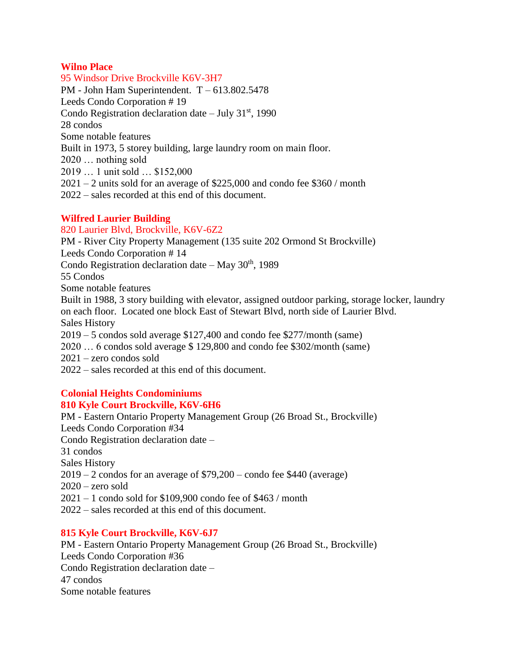# **Wilno Place**

95 Windsor Drive Brockville K6V-3H7 PM - John Ham Superintendent. T – 613.802.5478 Leeds Condo Corporation # 19 Condo Registration declaration date – July  $31<sup>st</sup>$ , 1990 28 condos Some notable features Built in 1973, 5 storey building, large laundry room on main floor. 2020 … nothing sold 2019 … 1 unit sold … \$152,000 2021 – 2 units sold for an average of \$225,000 and condo fee \$360 / month 2022 – sales recorded at this end of this document.

# **Wilfred Laurier Building**

#### 820 Laurier Blvd, Brockville, K6V-6Z2

PM - River City Property Management (135 suite 202 Ormond St Brockville) Leeds Condo Corporation # 14 Condo Registration declaration date – May  $30<sup>th</sup>$ , 1989 55 Condos Some notable features Built in 1988, 3 story building with elevator, assigned outdoor parking, storage locker, laundry on each floor. Located one block East of Stewart Blvd, north side of Laurier Blvd. Sales History 2019 – 5 condos sold average \$127,400 and condo fee \$277/month (same) 2020 … 6 condos sold average \$ 129,800 and condo fee \$302/month (same) 2021 – zero condos sold 2022 – sales recorded at this end of this document.

#### **Colonial Heights Condominiums 810 Kyle Court Brockville, K6V-6H6**

PM - Eastern Ontario Property Management Group (26 Broad St., Brockville) Leeds Condo Corporation #34 Condo Registration declaration date – 31 condos Sales History  $2019 - 2$  condos for an average of \$79,200 – condo fee \$440 (average)  $2020 -$ zero sold 2021 – 1 condo sold for \$109,900 condo fee of \$463 / month 2022 – sales recorded at this end of this document.

# **815 Kyle Court Brockville, K6V-6J7**

PM - Eastern Ontario Property Management Group (26 Broad St., Brockville) Leeds Condo Corporation #36 Condo Registration declaration date – 47 condos Some notable features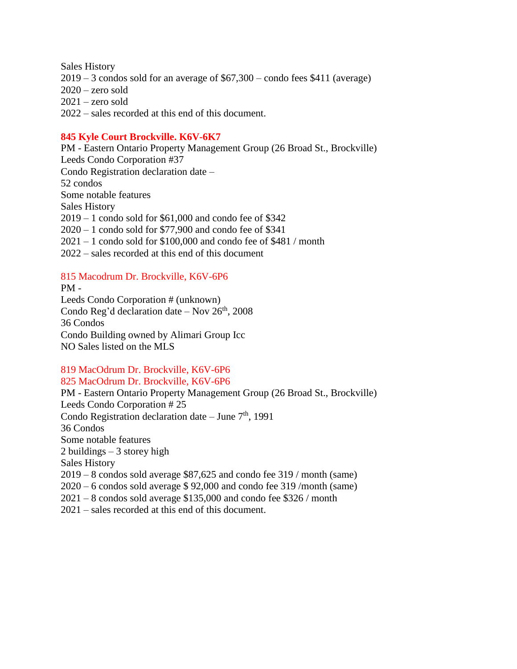Sales History 2019 – 3 condos sold for an average of \$67,300 – condo fees \$411 (average)  $2020 -$ zero sold 2021 – zero sold 2022 – sales recorded at this end of this document.

# **845 Kyle Court Brockville. K6V-6K7**

PM - Eastern Ontario Property Management Group (26 Broad St., Brockville) Leeds Condo Corporation #37 Condo Registration declaration date – 52 condos Some notable features Sales History 2019 – 1 condo sold for \$61,000 and condo fee of \$342 2020 – 1 condo sold for \$77,900 and condo fee of \$341 2021 – 1 condo sold for \$100,000 and condo fee of \$481 / month 2022 – sales recorded at this end of this document

## 815 Macodrum Dr. Brockville, K6V-6P6

PM - Leeds Condo Corporation # (unknown) Condo Reg'd declaration date – Nov  $26<sup>th</sup>$ , 2008 36 Condos Condo Building owned by Alimari Group Icc NO Sales listed on the MLS

## 819 MacOdrum Dr. Brockville, K6V-6P6 825 MacOdrum Dr. Brockville, K6V-6P6

PM - Eastern Ontario Property Management Group (26 Broad St., Brockville) Leeds Condo Corporation # 25 Condo Registration declaration date – June  $7<sup>th</sup>$ , 1991 36 Condos Some notable features 2 buildings – 3 storey high Sales History 2019 – 8 condos sold average \$87,625 and condo fee 319 / month (same) 2020 – 6 condos sold average \$ 92,000 and condo fee 319 /month (same) 2021 – 8 condos sold average \$135,000 and condo fee \$326 / month 2021 – sales recorded at this end of this document.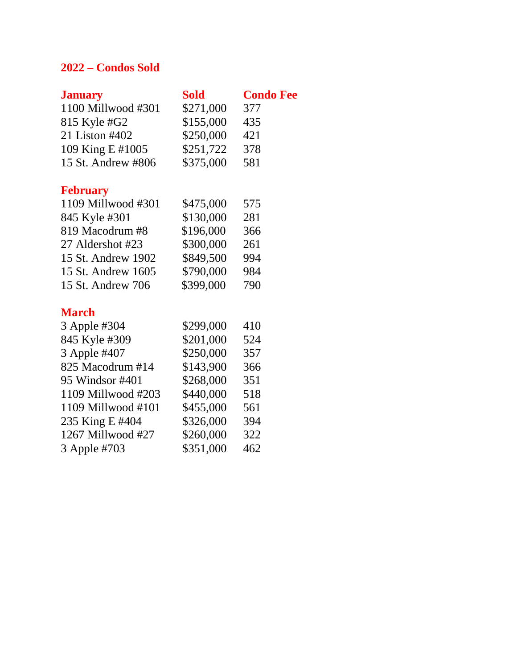# **2022 – Condos Sold**

| <b>January</b>       | <b>Sold</b> | <b>Condo Fee</b> |
|----------------------|-------------|------------------|
| 1100 Millwood #301   | \$271,000   | 377              |
| 815 Kyle #G2         | \$155,000   | 435              |
| 21 Liston #402       | \$250,000   | 421              |
| 109 King E #1005     | \$251,722   | 378              |
| 15 St. Andrew #806   | \$375,000   | 581              |
| <b>February</b>      |             |                  |
| 1109 Millwood #301   | \$475,000   | 575              |
| 845 Kyle #301        | \$130,000   | 281              |
| 819 Macodrum #8      | \$196,000   | 366              |
| 27 Aldershot #23     | \$300,000   | 261              |
| 15 St. Andrew 1902   | \$849,500   | 994              |
| 15 St. Andrew 1605   | \$790,000   | 984              |
| 15 St. Andrew 706    | \$399,000   | 790              |
| <b>March</b>         |             |                  |
| 3 Apple #304         | \$299,000   | 410              |
| 845 Kyle #309        | \$201,000   | 524              |
| 3 Apple #407         | \$250,000   | 357              |
| 825 Macodrum #14     | \$143,900   | 366              |
| 95 Windsor #401      | \$268,000   | 351              |
| 1109 Millwood #203   | \$440,000   | 518              |
| $1109$ Millwood #101 | \$455,000   | 561              |
| 235 King E #404      | \$326,000   | 394              |
| 1267 Millwood #27    | \$260,000   | 322              |
| 3 Apple #703         | \$351,000   | 462              |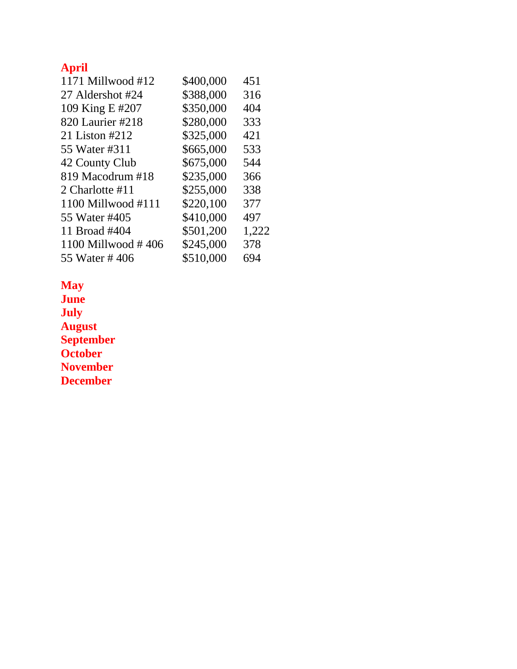# **April**

| 1171 Millwood #12  | \$400,000 | 451   |
|--------------------|-----------|-------|
|                    |           |       |
| 27 Aldershot #24   | \$388,000 | 316   |
| 109 King E #207    | \$350,000 | 404   |
| 820 Laurier #218   | \$280,000 | 333   |
| 21 Liston #212     | \$325,000 | 421   |
| 55 Water #311      | \$665,000 | 533   |
| 42 County Club     | \$675,000 | 544   |
| 819 Macodrum #18   | \$235,000 | 366   |
| 2 Charlotte #11    | \$255,000 | 338   |
| 1100 Millwood #111 | \$220,100 | 377   |
| 55 Water #405      | \$410,000 | 497   |
| 11 Broad #404      | \$501,200 | 1,222 |
| 1100 Millwood #406 | \$245,000 | 378   |
| 55 Water #406      | \$510,000 | 694   |
|                    |           |       |

**May June**

**July August September October November December**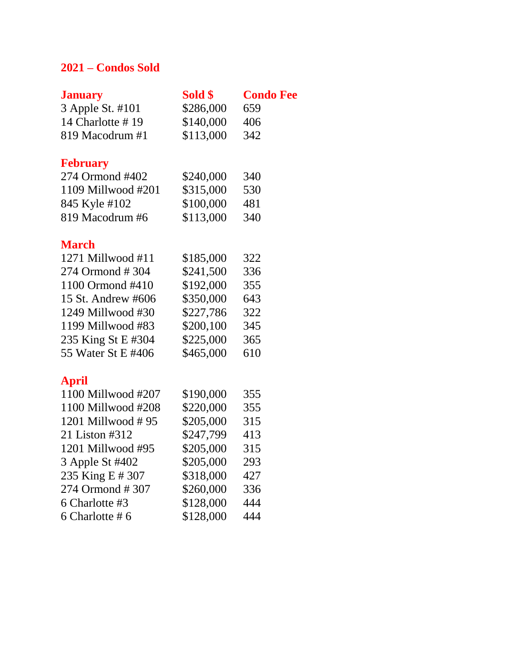# **2021 – Condos Sold**

| <b>January</b>      | Sold \$   | <b>Condo Fee</b> |
|---------------------|-----------|------------------|
| 3 Apple St. #101    | \$286,000 | 659              |
| 14 Charlotte #19    | \$140,000 | 406              |
| 819 Macodrum #1     | \$113,000 | 342              |
| <b>February</b>     |           |                  |
| 274 Ormond #402     | \$240,000 | 340              |
| 1109 Millwood #201  | \$315,000 | 530              |
| 845 Kyle #102       | \$100,000 | 481              |
| 819 Macodrum #6     | \$113,000 | 340              |
| <b>March</b>        |           |                  |
| $1271$ Millwood #11 | \$185,000 | 322              |
| 274 Ormond #304     | \$241,500 | 336              |
| 1100 Ormond #410    | \$192,000 | 355              |
| 15 St. Andrew #606  | \$350,000 | 643              |
| 1249 Millwood #30   | \$227,786 | 322              |
| 1199 Millwood #83   | \$200,100 | 345              |
| 235 King St E #304  | \$225,000 | 365              |
| 55 Water St E #406  | \$465,000 | 610              |
| <b>April</b>        |           |                  |
| 1100 Millwood #207  | \$190,000 | 355              |
| 1100 Millwood #208  | \$220,000 | 355              |
| 1201 Millwood #95   | \$205,000 | 315              |
| 21 Liston #312      | \$247,799 | 413              |
| 1201 Millwood #95   | \$205,000 | 315              |
| 3 Apple St #402     | \$205,000 | 293              |
| 235 King E # 307    | \$318,000 | 427              |
| 274 Ormond #307     | \$260,000 | 336              |
| 6 Charlotte #3      | \$128,000 | 444              |
| 6 Charlotte #6      | \$128,000 | 444              |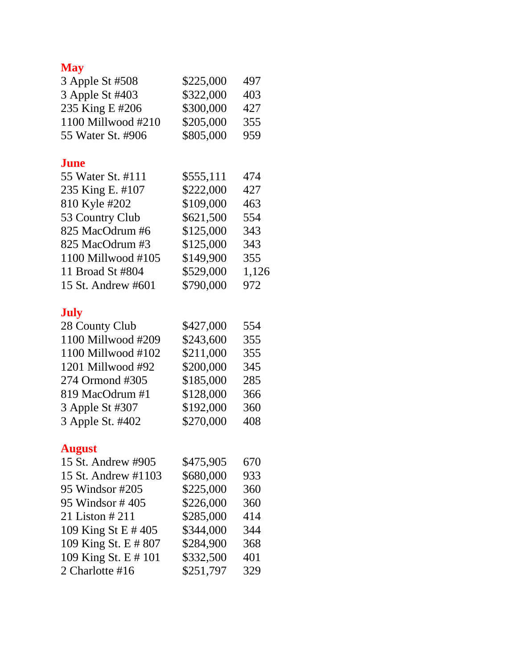# **May**

| 3 Apple St #508      | \$225,000 | 497   |
|----------------------|-----------|-------|
| 3 Apple St #403      | \$322,000 | 403   |
| 235 King E #206      | \$300,000 | 427   |
| 1100 Millwood #210   | \$205,000 | 355   |
| 55 Water St. #906    | \$805,000 | 959   |
| <b>June</b>          |           |       |
| 55 Water St. #111    | \$555,111 | 474   |
| 235 King E. #107     | \$222,000 | 427   |
| 810 Kyle #202        | \$109,000 | 463   |
| 53 Country Club      | \$621,500 | 554   |
| 825 MacOdrum #6      | \$125,000 | 343   |
| 825 MacOdrum #3      | \$125,000 | 343   |
| 1100 Millwood #105   | \$149,900 | 355   |
| 11 Broad St #804     | \$529,000 | 1,126 |
| 15 St. Andrew #601   | \$790,000 | 972   |
| <b>July</b>          |           |       |
| 28 County Club       | \$427,000 | 554   |
| 1100 Millwood #209   | \$243,600 | 355   |
| 1100 Millwood #102   | \$211,000 | 355   |
| 1201 Millwood #92    | \$200,000 | 345   |
| 274 Ormond #305      | \$185,000 | 285   |
| 819 MacOdrum #1      | \$128,000 | 366   |
| 3 Apple St #307      | \$192,000 | 360   |
| 3 Apple St. #402     | \$270,000 | 408   |
| <b>August</b>        |           |       |
| 15 St. Andrew #905   | \$475,905 | 670   |
| 15 St. Andrew #1103  | \$680,000 | 933   |
| 95 Windsor #205      | \$225,000 | 360   |
| 95 Windsor #405      | \$226,000 | 360   |
| 21 Liston # 211      | \$285,000 | 414   |
| 109 King St E #405   | \$344,000 | 344   |
| 109 King St. E # 807 | \$284,900 | 368   |
| 109 King St. E # 101 | \$332,500 | 401   |
| 2 Charlotte #16      | \$251,797 | 329   |
|                      |           |       |